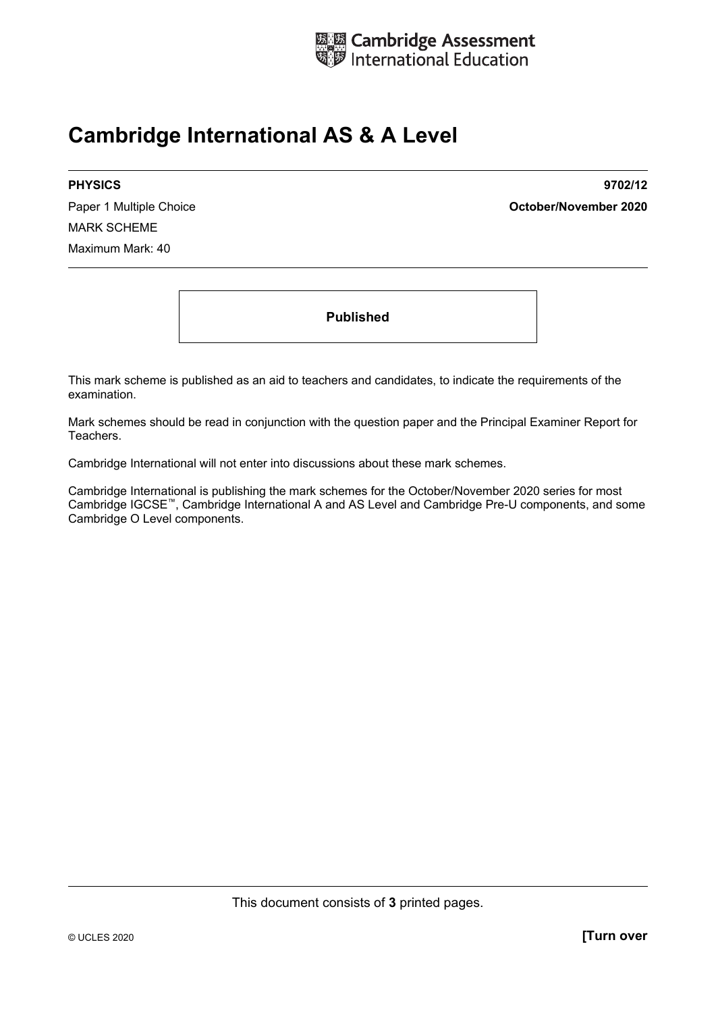

## **Cambridge International AS & A Level**

MARK SCHEME Maximum Mark: 40

**PHYSICS 9702/12**  Paper 1 Multiple Choice **October/November 2020**

**Published** 

This mark scheme is published as an aid to teachers and candidates, to indicate the requirements of the examination.

Mark schemes should be read in conjunction with the question paper and the Principal Examiner Report for Teachers.

Cambridge International will not enter into discussions about these mark schemes.

Cambridge International is publishing the mark schemes for the October/November 2020 series for most Cambridge IGCSE™, Cambridge International A and AS Level and Cambridge Pre-U components, and some Cambridge O Level components.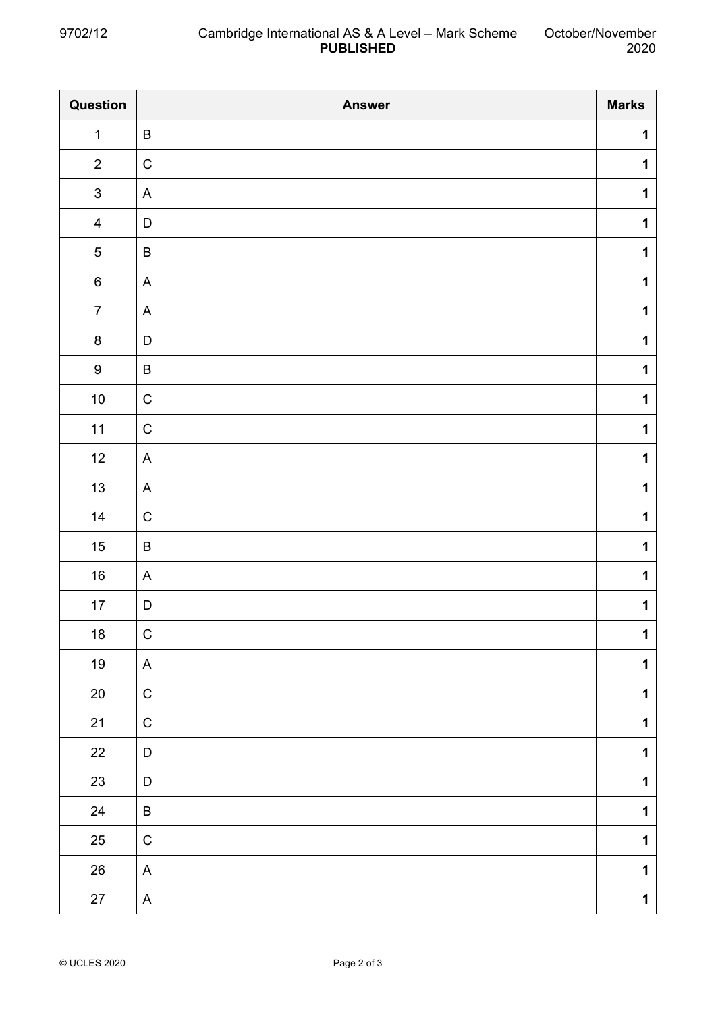| Question         | <b>Answer</b>             | <b>Marks</b> |
|------------------|---------------------------|--------------|
| $\mathbf{1}$     | $\sf B$                   | $\mathbf 1$  |
| $\overline{2}$   | $\mathsf C$               | $\mathbf 1$  |
| $\mathsf 3$      | A                         | $\mathbf 1$  |
| $\overline{4}$   | $\mathsf D$               | $\mathbf 1$  |
| $\sqrt{5}$       | $\sf B$                   | $\mathbf 1$  |
| $\,6\,$          | A                         | $\mathbf 1$  |
| $\overline{7}$   | $\boldsymbol{\mathsf{A}}$ | $\mathbf 1$  |
| $\bf 8$          | $\mathsf D$               | $\mathbf 1$  |
| $\boldsymbol{9}$ | $\sf B$                   | $\mathbf 1$  |
| $10\,$           | $\mathsf C$               | $\mathbf 1$  |
| $11$             | $\mathsf C$               | $\mathbf 1$  |
| 12               | A                         | $\mathbf 1$  |
| 13               | A                         | $\mathbf 1$  |
| 14               | $\mathsf C$               | $\mathbf 1$  |
| 15               | $\sf B$                   | $\mathbf 1$  |
| 16               | A                         | $\mathbf 1$  |
| 17               | $\mathsf D$               | $\mathbf 1$  |
| 18               | C                         | 1            |
| 19               | A                         | $\mathbf 1$  |
| $20\,$           | $\mathsf C$               | $\mathbf 1$  |
| 21               | ${\bf C}$                 | $\mathbf 1$  |
| $22\,$           | $\mathsf D$               | $\mathbf 1$  |
| $23\,$           | D                         | $\mathbf 1$  |
| 24               | $\sf B$                   | $\mathbf 1$  |
| 25               | $\mathsf C$               | $\mathbf 1$  |
| 26               | A                         | $\mathbf 1$  |
| 27               | A                         | $\mathbf 1$  |